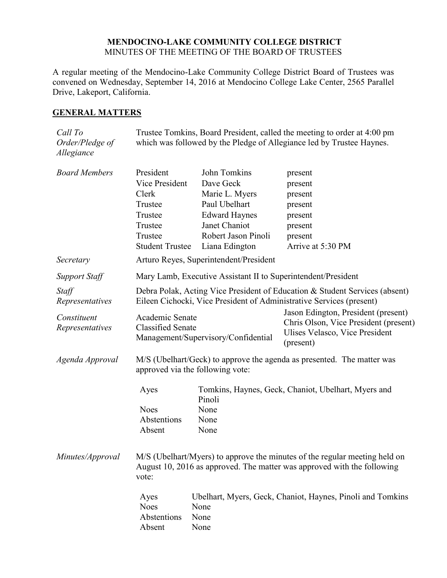## **MENDOCINO-LAKE COMMUNITY COLLEGE DISTRICT** MINUTES OF THE MEETING OF THE BOARD OF TRUSTEES

A regular meeting of the Mendocino-Lake Community College District Board of Trustees was convened on Wednesday, September 14, 2016 at Mendocino College Lake Center, 2565 Parallel Drive, Lakeport, California.

## **GENERAL MATTERS**

| Call To<br>Order/Pledge of<br>Allegiance | Trustee Tomkins, Board President, called the meeting to order at 4:00 pm<br>which was followed by the Pledge of Allegiance led by Trustee Haynes.              |                                                                                                                                                |                                                                                                                             |  |
|------------------------------------------|----------------------------------------------------------------------------------------------------------------------------------------------------------------|------------------------------------------------------------------------------------------------------------------------------------------------|-----------------------------------------------------------------------------------------------------------------------------|--|
| <b>Board Members</b>                     | President<br>Vice President<br>Clerk<br>Trustee<br>Trustee<br>Trustee<br>Trustee<br><b>Student Trustee</b>                                                     | John Tomkins<br>Dave Geck<br>Marie L. Myers<br>Paul Ubelhart<br><b>Edward Haynes</b><br>Janet Chaniot<br>Robert Jason Pinoli<br>Liana Edington | present<br>present<br>present<br>present<br>present<br>present<br>present<br>Arrive at 5:30 PM                              |  |
| Secretary                                | Arturo Reyes, Superintendent/President                                                                                                                         |                                                                                                                                                |                                                                                                                             |  |
| <b>Support Staff</b>                     | Mary Lamb, Executive Assistant II to Superintendent/President                                                                                                  |                                                                                                                                                |                                                                                                                             |  |
| Staff<br>Representatives                 | Debra Polak, Acting Vice President of Education & Student Services (absent)<br>Eileen Cichocki, Vice President of Administrative Services (present)            |                                                                                                                                                |                                                                                                                             |  |
| Constituent<br>Representatives           | Academic Senate<br><b>Classified Senate</b><br>Management/Supervisory/Confidential                                                                             |                                                                                                                                                | Jason Edington, President (present)<br>Chris Olson, Vice President (present)<br>Ulises Velasco, Vice President<br>(present) |  |
| Agenda Approval                          | M/S (Ubelhart/Geck) to approve the agenda as presented. The matter was<br>approved via the following vote:                                                     |                                                                                                                                                |                                                                                                                             |  |
|                                          | Ayes<br><b>Noes</b><br>Abstentions<br>Absent                                                                                                                   | Pinoli<br>None<br>None<br>None                                                                                                                 | Tomkins, Haynes, Geck, Chaniot, Ubelhart, Myers and                                                                         |  |
| Minutes/Approval                         | M/S (Ubelhart/Myers) to approve the minutes of the regular meeting held on<br>August 10, 2016 as approved. The matter was approved with the following<br>vote: |                                                                                                                                                |                                                                                                                             |  |
|                                          | Ayes<br><b>Noes</b><br>Abstentions<br>Absent                                                                                                                   | None<br>None<br>None                                                                                                                           | Ubelhart, Myers, Geck, Chaniot, Haynes, Pinoli and Tomkins                                                                  |  |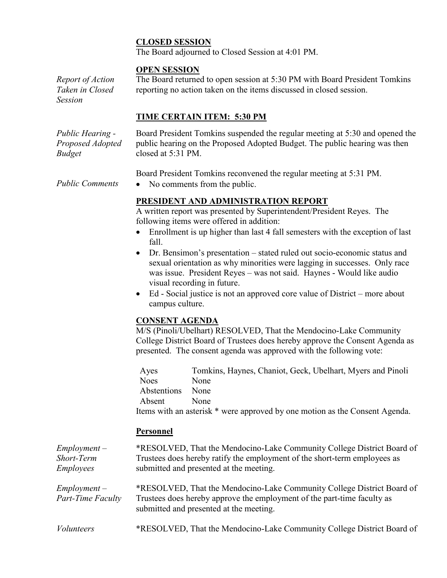## **CLOSED SESSION**

The Board adjourned to Closed Session at 4:01 PM.

#### **OPEN SESSION**

*Report of Action Taken in Closed Session* The Board returned to open session at 5:30 PM with Board President Tomkins reporting no action taken on the items discussed in closed session.

## **TIME CERTAIN ITEM: 5:30 PM**

*Public Hearing - Proposed Adopted Budget*

Board President Tomkins suspended the regular meeting at 5:30 and opened the public hearing on the Proposed Adopted Budget. The public hearing was then closed at 5:31 PM.

Board President Tomkins reconvened the regular meeting at 5:31 PM.

*Public Comments* • No comments from the public.

# **PRESIDENT AND ADMINISTRATION REPORT**

A written report was presented by Superintendent/President Reyes. The following items were offered in addition:

- Enrollment is up higher than last 4 fall semesters with the exception of last fall.
- Dr. Bensimon's presentation stated ruled out socio-economic status and sexual orientation as why minorities were lagging in successes. Only race was issue. President Reyes – was not said. Haynes - Would like audio visual recording in future.
- Ed Social justice is not an approved core value of District more about campus culture.

## **CONSENT AGENDA**

M/S (Pinoli/Ubelhart) RESOLVED, That the Mendocino-Lake Community College District Board of Trustees does hereby approve the Consent Agenda as presented. The consent agenda was approved with the following vote:

Ayes Tomkins, Haynes, Chaniot, Geck, Ubelhart, Myers and Pinoli Noes None Abstentions None Absent None Items with an asterisk \* were approved by one motion as the Consent Agenda.

## **Personnel**

| $Employment -$<br>Short-Term<br><i>Employees</i> | *RESOLVED, That the Mendocino-Lake Community College District Board of<br>Trustees does hereby ratify the employment of the short-term employees as<br>submitted and presented at the meeting. |
|--------------------------------------------------|------------------------------------------------------------------------------------------------------------------------------------------------------------------------------------------------|
| $Employment -$<br>Part-Time Faculty              | *RESOLVED, That the Mendocino-Lake Community College District Board of<br>Trustees does hereby approve the employment of the part-time faculty as<br>submitted and presented at the meeting.   |
| <i>Volunteers</i>                                | *RESOLVED, That the Mendocino-Lake Community College District Board of                                                                                                                         |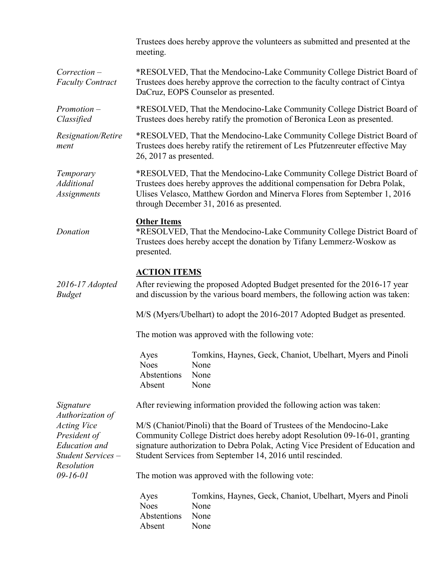|                                                                                                                                                   | meeting.                                                                                                                                                                                                                                                                                           | Trustees does hereby approve the volunteers as submitted and presented at the      |  |  |
|---------------------------------------------------------------------------------------------------------------------------------------------------|----------------------------------------------------------------------------------------------------------------------------------------------------------------------------------------------------------------------------------------------------------------------------------------------------|------------------------------------------------------------------------------------|--|--|
| $Correction -$<br><b>Faculty Contract</b>                                                                                                         | *RESOLVED, That the Mendocino-Lake Community College District Board of<br>Trustees does hereby approve the correction to the faculty contract of Cintya<br>DaCruz, EOPS Counselor as presented.                                                                                                    |                                                                                    |  |  |
| $Promotion -$<br>Classified                                                                                                                       | *RESOLVED, That the Mendocino-Lake Community College District Board of<br>Trustees does hereby ratify the promotion of Beronica Leon as presented.                                                                                                                                                 |                                                                                    |  |  |
| Resignation/Retire<br>ment                                                                                                                        | *RESOLVED, That the Mendocino-Lake Community College District Board of<br>Trustees does hereby ratify the retirement of Les Pfutzenreuter effective May<br>26, 2017 as presented.                                                                                                                  |                                                                                    |  |  |
| Temporary<br><b>Additional</b><br>Assignments                                                                                                     | *RESOLVED, That the Mendocino-Lake Community College District Board of<br>Trustees does hereby approves the additional compensation for Debra Polak,<br>Ulises Velasco, Matthew Gordon and Minerva Flores from September 1, 2016<br>through December 31, 2016 as presented.                        |                                                                                    |  |  |
| Donation                                                                                                                                          | <b>Other Items</b><br>*RESOLVED, That the Mendocino-Lake Community College District Board of<br>Trustees does hereby accept the donation by Tifany Lemmerz-Woskow as<br>presented.                                                                                                                 |                                                                                    |  |  |
| 2016-17 Adopted<br><b>Budget</b>                                                                                                                  | <b>ACTION ITEMS</b><br>After reviewing the proposed Adopted Budget presented for the 2016-17 year<br>and discussion by the various board members, the following action was taken:                                                                                                                  |                                                                                    |  |  |
|                                                                                                                                                   | M/S (Myers/Ubelhart) to adopt the 2016-2017 Adopted Budget as presented.                                                                                                                                                                                                                           |                                                                                    |  |  |
|                                                                                                                                                   | The motion was approved with the following vote:                                                                                                                                                                                                                                                   |                                                                                    |  |  |
|                                                                                                                                                   | Ayes<br><b>Noes</b><br>Abstentions<br>Absent                                                                                                                                                                                                                                                       | Tomkins, Haynes, Geck, Chaniot, Ubelhart, Myers and Pinoli<br>None<br>None<br>None |  |  |
| Signature<br>Authorization of<br><b>Acting Vice</b><br>President of<br><b>Education</b> and<br>Student Services -<br>Resolution<br>$09 - 16 - 01$ | After reviewing information provided the following action was taken:                                                                                                                                                                                                                               |                                                                                    |  |  |
|                                                                                                                                                   | M/S (Chaniot/Pinoli) that the Board of Trustees of the Mendocino-Lake<br>Community College District does hereby adopt Resolution 09-16-01, granting<br>signature authorization to Debra Polak, Acting Vice President of Education and<br>Student Services from September 14, 2016 until rescinded. |                                                                                    |  |  |
|                                                                                                                                                   | The motion was approved with the following vote:                                                                                                                                                                                                                                                   |                                                                                    |  |  |
|                                                                                                                                                   | Ayes<br><b>Noes</b><br>Abstentions<br>Absent                                                                                                                                                                                                                                                       | Tomkins, Haynes, Geck, Chaniot, Ubelhart, Myers and Pinoli<br>None<br>None<br>None |  |  |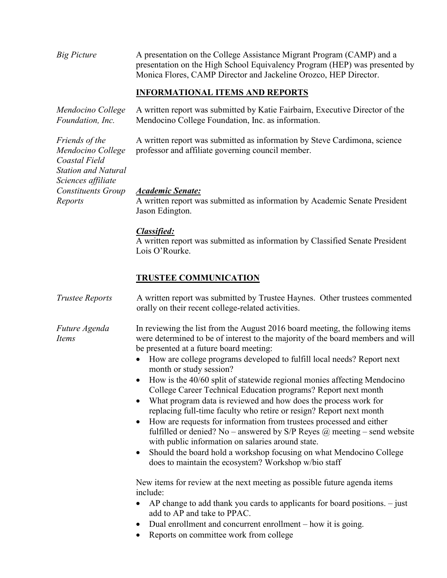*Big Picture* A presentation on the College Assistance Migrant Program (CAMP) and a presentation on the High School Equivalency Program (HEP) was presented by Monica Flores, CAMP Director and Jackeline Orozco, HEP Director.

# **INFORMATIONAL ITEMS AND REPORTS**

*Mendocino College Foundation, Inc.* A written report was submitted by Katie Fairbairn, Executive Director of the Mendocino College Foundation, Inc. as information.

> A written report was submitted as information by Steve Cardimona, science professor and affiliate governing council member.

#### *Academic Senate:*

A written report was submitted as information by Academic Senate President Jason Edington.

#### *Classified:*

A written report was submitted as information by Classified Senate President Lois O'Rourke.

## **TRUSTEE COMMUNICATION**

*Trustee Reports* A written report was submitted by Trustee Haynes. Other trustees commented orally on their recent college-related activities.

*Future Agenda Items* In reviewing the list from the August 2016 board meeting, the following items were determined to be of interest to the majority of the board members and will be presented at a future board meeting:

- How are college programs developed to fulfill local needs? Report next month or study session?
- How is the 40/60 split of statewide regional monies affecting Mendocino College Career Technical Education programs? Report next month
- What program data is reviewed and how does the process work for replacing full-time faculty who retire or resign? Report next month
- How are requests for information from trustees processed and either fulfilled or denied? No – answered by S/P Reyes  $\omega$  meeting – send website with public information on salaries around state.
- Should the board hold a workshop focusing on what Mendocino College does to maintain the ecosystem? Workshop w/bio staff

New items for review at the next meeting as possible future agenda items include:

- $\bullet$  AP change to add thank you cards to applicants for board positions.  $-$  just add to AP and take to PPAC.
- Dual enrollment and concurrent enrollment how it is going.
- Reports on committee work from college

*Friends of the Mendocino College Coastal Field Station and Natural Sciences affiliate Constituents Group Reports*